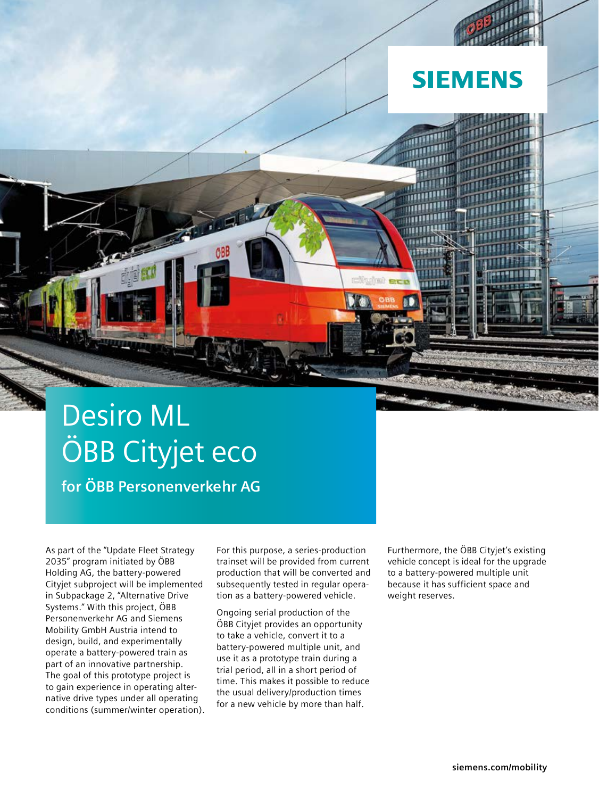

# Desiro ML ÖBB Cityjet eco

**for ÖBB Personenverkehr AG**

As part of the "Update Fleet Strategy 2035" program initiated by ÖBB Holding AG, the battery-powered Cityjet subproject will be implemented in Subpackage 2, "Alternative Drive Systems." With this project, ÖBB Personenverkehr AG and Siemens Mobility GmbH Austria intend to design, build, and experimentally operate a battery-powered train as part of an innovative partnership. The goal of this prototype project is to gain experience in operating alternative drive types under all operating conditions (summer/winter operation). For this purpose, a series-production trainset will be provided from current production that will be converted and subsequently tested in regular operation as a battery-powered vehicle.

Ongoing serial production of the ÖBB Cityjet provides an opportunity to take a vehicle, convert it to a battery-powered multiple unit, and use it as a prototype train during a trial period, all in a short period of time. This makes it possible to reduce the usual delivery/production times for a new vehicle by more than half.

Furthermore, the ÖBB Cityjet's existing vehicle concept is ideal for the upgrade to a battery-powered multiple unit because it has sufficient space and weight reserves.